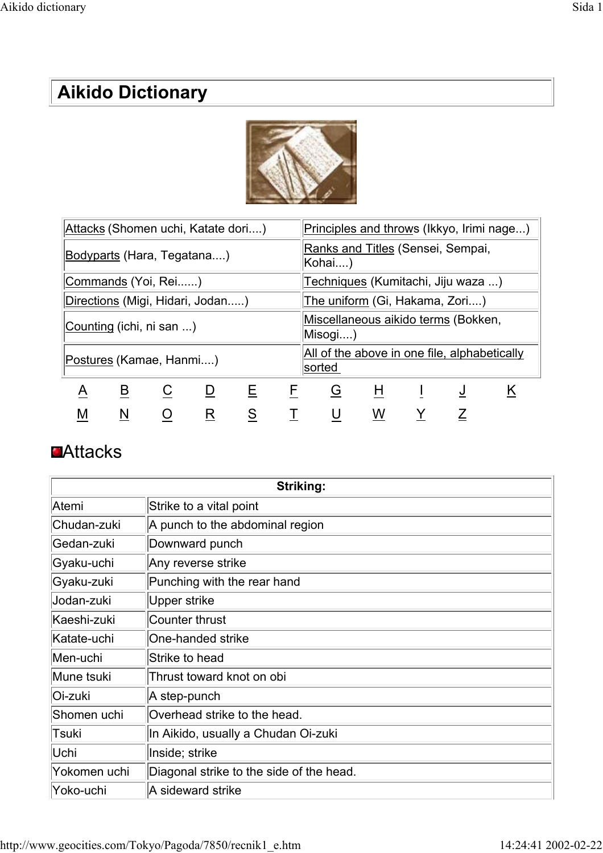# **Aikido Dictionary**



| Attacks (Shomen uchi, Katate dori) |   |   |   |    | Principles and throws (Ikkyo, Irimi nage)              |   |   |  |   |   |
|------------------------------------|---|---|---|----|--------------------------------------------------------|---|---|--|---|---|
| Bodyparts (Hara, Tegatana)         |   |   |   |    | Ranks and Titles (Sensei, Sempai,<br>Kohai)            |   |   |  |   |   |
| Commands (Yoi, Rei)                |   |   |   |    | Techniques (Kumitachi, Jiju waza )                     |   |   |  |   |   |
| Directions (Migi, Hidari, Jodan)   |   |   |   |    | The uniform (Gi, Hakama, Zori)                         |   |   |  |   |   |
| Counting (ichi, ni san )           |   |   |   |    | Miscellaneous aikido terms (Bokken,<br>Misogi)         |   |   |  |   |   |
| Postures (Kamae, Hanmi)            |   |   |   |    | All of the above in one file, alphabetically<br>sorted |   |   |  |   |   |
| A                                  | B | C | D | E. | F                                                      | G | H |  | J | ĸ |
| M                                  | N |   | R | S  |                                                        |   | W |  |   |   |

#### **DAttacks**

| Striking:    |                                          |  |
|--------------|------------------------------------------|--|
| Atemi        | Strike to a vital point                  |  |
| Chudan-zuki  | A punch to the abdominal region          |  |
| Gedan-zuki   | Downward punch                           |  |
| Gyaku-uchi   | Any reverse strike                       |  |
| Gyaku-zuki   | Punching with the rear hand              |  |
| Jodan-zuki   | Upper strike                             |  |
| Kaeshi-zuki  | Counter thrust                           |  |
| Katate-uchi  | One-handed strike                        |  |
| Men-uchi     | Strike to head                           |  |
| Mune tsuki   | Thrust toward knot on obi                |  |
| Oi-zuki      | A step-punch                             |  |
| Shomen uchi  | Overhead strike to the head.             |  |
| Tsuki        | In Aikido, usually a Chudan Oi-zuki      |  |
| Uchi         | Inside; strike                           |  |
| Yokomen uchi | Diagonal strike to the side of the head. |  |
| Yoko-uchi    | A sideward strike                        |  |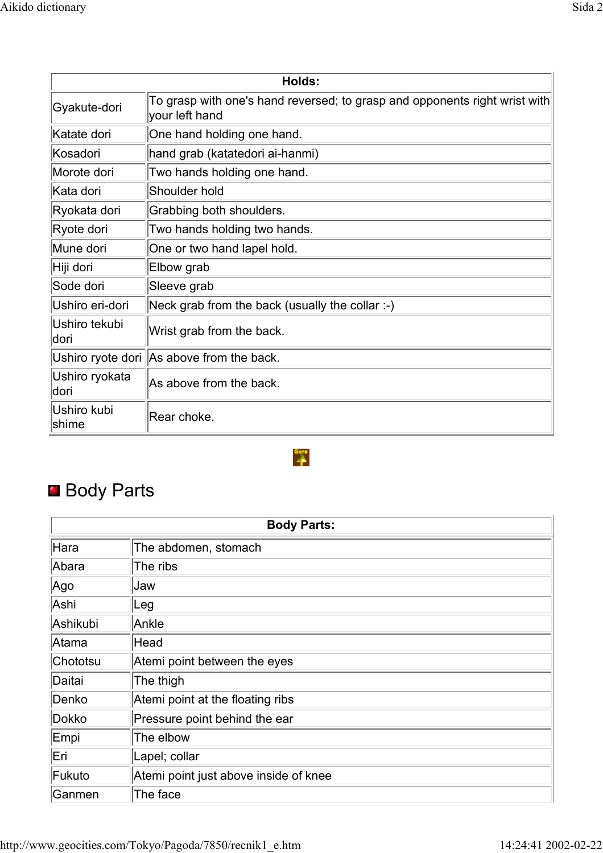| Holds:                  |                                                                                              |  |
|-------------------------|----------------------------------------------------------------------------------------------|--|
| Gyakute-dori            | To grasp with one's hand reversed; to grasp and opponents right wrist with<br>your left hand |  |
| Katate dori             | One hand holding one hand.                                                                   |  |
| Kosadori                | hand grab (katatedori ai-hanmi)                                                              |  |
| Morote dori             | Two hands holding one hand.                                                                  |  |
| lKata dori              | Shoulder hold                                                                                |  |
| Ryokata dori            | Grabbing both shoulders.                                                                     |  |
| Ryote dori              | Two hands holding two hands.                                                                 |  |
| Mune dori               | One or two hand lapel hold.                                                                  |  |
| Hiji dori               | Elbow grab                                                                                   |  |
| Sode dori               | Sleeve grab                                                                                  |  |
| Ushiro eri-dori         | Neck grab from the back (usually the collar :-)                                              |  |
| Ushiro tekubi<br>ldori  | Wrist grab from the back.                                                                    |  |
|                         | Ushiro ryote dori As above from the back.                                                    |  |
| Ushiro ryokata<br>ldori | As above from the back.                                                                      |  |
| Ushiro kubi<br>shime    | Rear choke.                                                                                  |  |

 $\overset{\text{Gore}}{\rightarrow}$ 

# **Body Parts**

| <b>Body Parts:</b> |                                       |  |
|--------------------|---------------------------------------|--|
| Hara               | The abdomen, stomach                  |  |
| Abara              | The ribs                              |  |
| Ago                | <b>Jaw</b>                            |  |
| Ashi               | $\lfloor$ Leg                         |  |
| Ashikubi           | Ankle                                 |  |
| Atama              | Head                                  |  |
| Chototsu           | Atemi point between the eyes          |  |
| Daitai             | The thigh                             |  |
| Denko              | Atemi point at the floating ribs      |  |
| Dokko              | Pressure point behind the ear         |  |
| Empi               | The elbow                             |  |
| Eri                | Lapel; collar                         |  |
| Fukuto             | Atemi point just above inside of knee |  |
| Ganmen             | The face                              |  |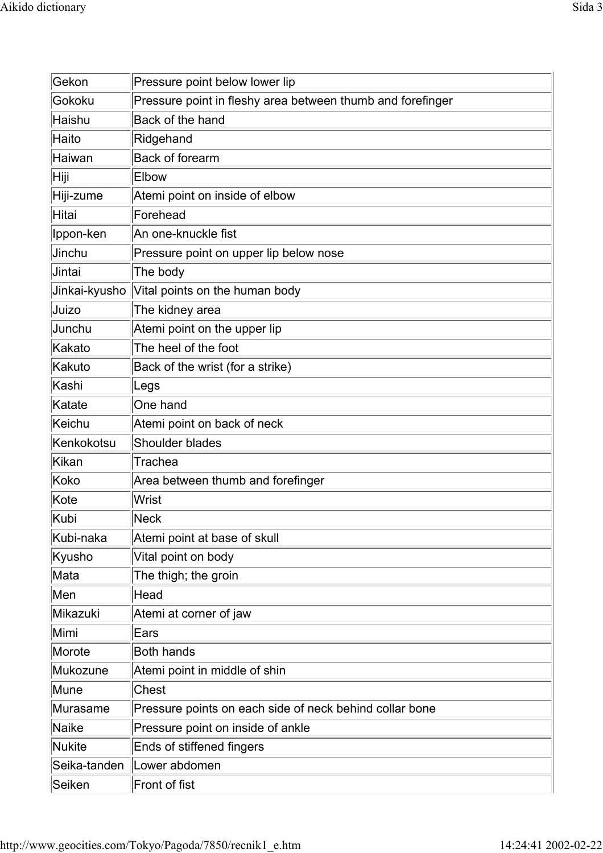| Gekon         | Pressure point below lower lip                             |
|---------------|------------------------------------------------------------|
| Gokoku        | Pressure point in fleshy area between thumb and forefinger |
| Haishu        | Back of the hand                                           |
| Haito         | Ridgehand                                                  |
| Haiwan        | <b>Back of forearm</b>                                     |
| Hiji          | Elbow                                                      |
| Hiji-zume     | Atemi point on inside of elbow                             |
| Hitai         | Forehead                                                   |
| Ippon-ken     | An one-knuckle fist                                        |
| Jinchu        | Pressure point on upper lip below nose                     |
| Jintai        | The body                                                   |
| Jinkai-kyusho | Vital points on the human body                             |
| Juizo         | The kidney area                                            |
| Junchu        | Atemi point on the upper lip                               |
| Kakato        | The heel of the foot                                       |
| Kakuto        | Back of the wrist (for a strike)                           |
| Kashi         | Legs                                                       |
| Katate        | One hand                                                   |
| Keichu        | Atemi point on back of neck                                |
| Kenkokotsu    | Shoulder blades                                            |
| <b>Kikan</b>  | Trachea                                                    |
| Koko          | Area between thumb and forefinger                          |
| Kote          | Wrist                                                      |
| <b>Kubi</b>   | $ {\sf Neck} $                                             |
| Kubi-naka     | Atemi point at base of skull                               |
| Kyusho        | Vital point on body                                        |
| Mata          | The thigh; the groin                                       |
| Men           | Head                                                       |
| Mikazuki      | Atemi at corner of jaw                                     |
| Mimi          | Ears                                                       |
| Morote        | <b>Both hands</b>                                          |
| Mukozune      | Atemi point in middle of shin                              |
| Mune          | <b>Chest</b>                                               |
| Murasame      | Pressure points on each side of neck behind collar bone    |
| <b>Naike</b>  | Pressure point on inside of ankle                          |
| <b>Nukite</b> | Ends of stiffened fingers                                  |
| Seika-tanden  | Lower abdomen                                              |
| Seiken        | Front of fist                                              |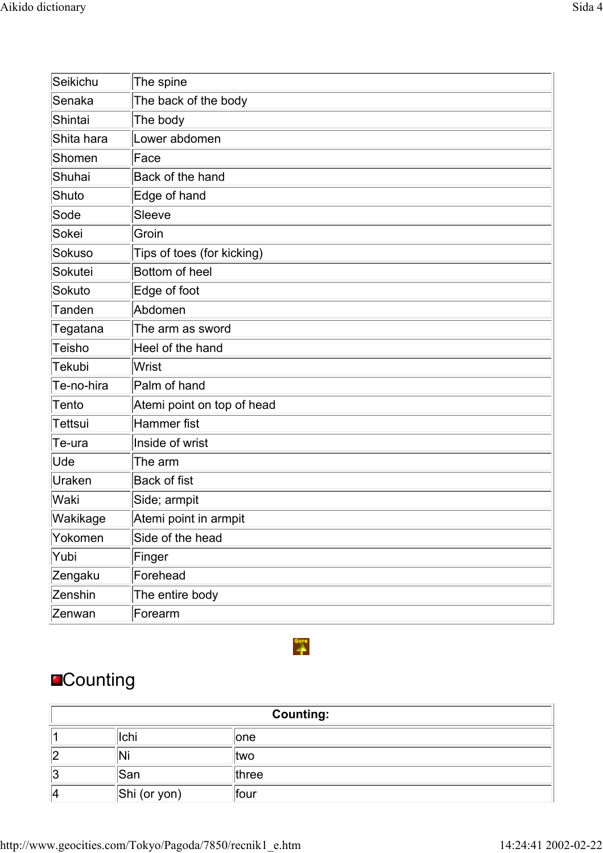| Seikichu      | The spine                  |
|---------------|----------------------------|
| Senaka        | The back of the body       |
| Shintai       | The body                   |
| Shita hara    | Lower abdomen              |
| Shomen        | Face                       |
| Shuhai        | Back of the hand           |
| Shuto         | Edge of hand               |
| Sode          | Sleeve                     |
| Sokei         | Groin                      |
| Sokuso        | Tips of toes (for kicking) |
| Sokutei       | Bottom of heel             |
| Sokuto        | Edge of foot               |
| <b>Tanden</b> | Abdomen                    |
| Tegatana      | The arm as sword           |
| Teisho        | Heel of the hand           |
| Tekubi        | <b>Wrist</b>               |
| Te-no-hira    | Palm of hand               |
| Tento         | Atemi point on top of head |
| Tettsui       | Hammer fist                |
| Te-ura        | Inside of wrist            |
| Ude           | The arm                    |
| Uraken        | <b>Back of fist</b>        |
| Waki          | Side; armpit               |
| Wakikage      | Atemi point in armpit      |
| Yokomen       | Side of the head           |
| Yubi          | Finger                     |
| Zengaku       | Forehead                   |
| Zenshin       | The entire body            |
| Zenwan        | Forearm                    |

# **Counting**

| <b>Counting:</b> |              |       |
|------------------|--------------|-------|
|                  | Ichi         | one   |
| 12               | 'N.          | ltwo  |
| 13               | <b>San</b>   | three |
| 14               | Shi (or yon) | four  |

 $\overset{\text{Gore}}{\rightarrow}$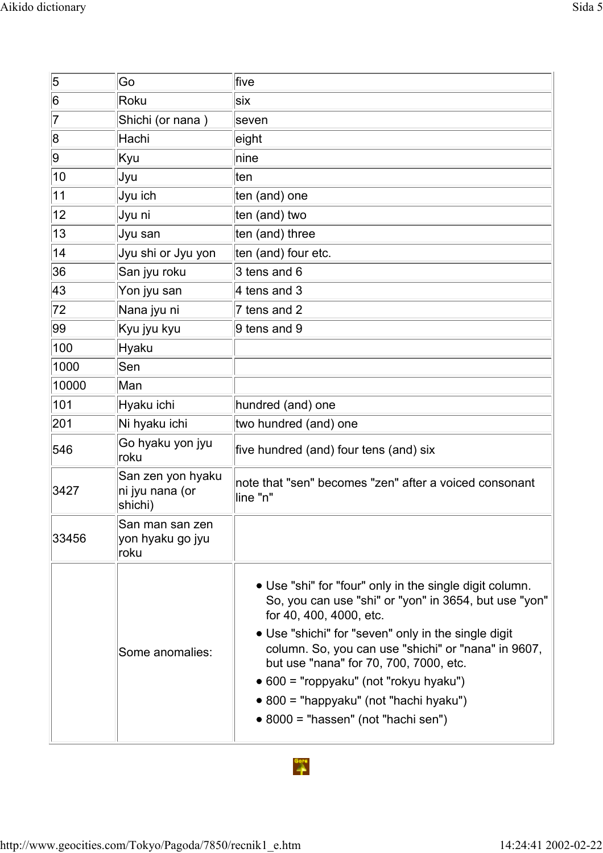| 5     | Go                                              | five                                                                                                                                                                                                                                                                                                                                                                                                                                           |
|-------|-------------------------------------------------|------------------------------------------------------------------------------------------------------------------------------------------------------------------------------------------------------------------------------------------------------------------------------------------------------------------------------------------------------------------------------------------------------------------------------------------------|
| 6     | Roku                                            | six                                                                                                                                                                                                                                                                                                                                                                                                                                            |
| 7     | Shichi (or nana)                                | seven                                                                                                                                                                                                                                                                                                                                                                                                                                          |
| 8     | Hachi                                           | eight                                                                                                                                                                                                                                                                                                                                                                                                                                          |
| 9     | Kyu                                             | nine                                                                                                                                                                                                                                                                                                                                                                                                                                           |
| 10    | Jyu                                             | ∣ten                                                                                                                                                                                                                                                                                                                                                                                                                                           |
| 11    | Jyu ich                                         | ten (and) one                                                                                                                                                                                                                                                                                                                                                                                                                                  |
| 12    | Jyu ni                                          | ten (and) two                                                                                                                                                                                                                                                                                                                                                                                                                                  |
| 13    | Jyu san                                         | ten (and) three                                                                                                                                                                                                                                                                                                                                                                                                                                |
| 14    | Jyu shi or Jyu yon                              | ten (and) four etc.                                                                                                                                                                                                                                                                                                                                                                                                                            |
| 36    | San jyu roku                                    | $3$ tens and 6                                                                                                                                                                                                                                                                                                                                                                                                                                 |
| 43    | Yon jyu san                                     | 4 tens and 3                                                                                                                                                                                                                                                                                                                                                                                                                                   |
| 72    | Nana jyu ni                                     | 7 tens and 2                                                                                                                                                                                                                                                                                                                                                                                                                                   |
| 99    | Kyu jyu kyu                                     | 9 tens and 9                                                                                                                                                                                                                                                                                                                                                                                                                                   |
| 100   | Hyaku                                           |                                                                                                                                                                                                                                                                                                                                                                                                                                                |
| 1000  | Sen                                             |                                                                                                                                                                                                                                                                                                                                                                                                                                                |
| 10000 | Man                                             |                                                                                                                                                                                                                                                                                                                                                                                                                                                |
| 101   | Hyaku ichi                                      | hundred (and) one                                                                                                                                                                                                                                                                                                                                                                                                                              |
| 201   | Ni hyaku ichi                                   | two hundred (and) one                                                                                                                                                                                                                                                                                                                                                                                                                          |
| 546   | Go hyaku yon jyu<br> roku                       | five hundred (and) four tens (and) six                                                                                                                                                                                                                                                                                                                                                                                                         |
| 3427  | San zen yon hyaku<br>ni jyu nana (or<br>shichi) | note that "sen" becomes "zen" after a voiced consonant<br>line "n"                                                                                                                                                                                                                                                                                                                                                                             |
| 33456 | San man san zen<br> yon hyaku go jyu<br>roku    |                                                                                                                                                                                                                                                                                                                                                                                                                                                |
|       | Some anomalies:                                 | • Use "shi" for "four" only in the single digit column.<br>So, you can use "shi" or "yon" in 3654, but use "yon"<br>for 40, 400, 4000, etc.<br>• Use "shichi" for "seven" only in the single digit<br>column. So, you can use "shichi" or "nana" in 9607,<br>but use "nana" for 70, 700, 7000, etc.<br>• 600 = "roppyaku" (not "rokyu hyaku")<br>$\bullet$ 800 = "happyaku" (not "hachi hyaku")<br>$\bullet$ 8000 = "hassen" (not "hachi sen") |

# $\overset{\text{Gorr}}{\rightarrow}$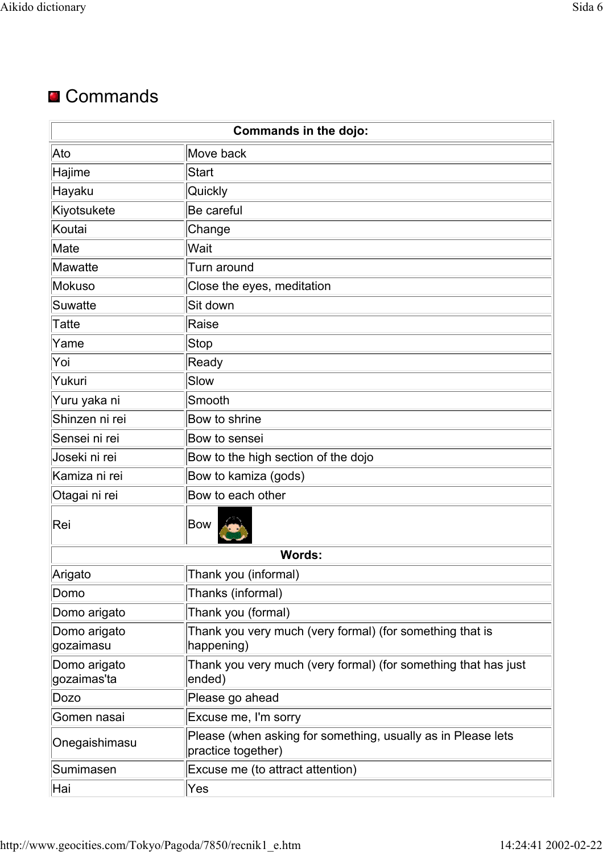## **■ Commands**

| <b>Commands in the dojo:</b> |                                                                                    |  |
|------------------------------|------------------------------------------------------------------------------------|--|
| Ato                          | Move back                                                                          |  |
| Hajime                       | <b>Start</b>                                                                       |  |
| Hayaku                       | Quickly                                                                            |  |
| Kiyotsukete                  | Be careful                                                                         |  |
| Koutai                       | Change                                                                             |  |
| Mate                         | Wait                                                                               |  |
| Mawatte                      | Turn around                                                                        |  |
| Mokuso                       | Close the eyes, meditation                                                         |  |
| <b>Suwatte</b>               | Sit down                                                                           |  |
| <b>Tatte</b>                 | Raise                                                                              |  |
| Yame                         | <b>Stop</b>                                                                        |  |
| Yoi                          | Ready                                                                              |  |
| Yukuri                       | Slow                                                                               |  |
| Yuru yaka ni                 | Smooth                                                                             |  |
| Shinzen ni rei               | Bow to shrine                                                                      |  |
| Sensei ni rei                | Bow to sensei                                                                      |  |
| Joseki ni rei                | Bow to the high section of the dojo                                                |  |
| Kamiza ni rei                | Bow to kamiza (gods)                                                               |  |
| Otagai ni rei                | Bow to each other                                                                  |  |
| Rei                          | Bow                                                                                |  |
|                              | <b>Words:</b>                                                                      |  |
| Arigato                      | Thank you (informal)                                                               |  |
| Domo                         | Thanks (informal)                                                                  |  |
| Domo arigato                 | Thank you (formal)                                                                 |  |
| Domo arigato<br>gozaimasu    | Thank you very much (very formal) (for something that is<br>happening)             |  |
| Domo arigato<br>gozaimas'ta  | Thank you very much (very formal) (for something that has just<br>ended)           |  |
| Dozo                         | Please go ahead                                                                    |  |
| Gomen nasai                  | Excuse me, I'm sorry                                                               |  |
| Onegaishimasu                | Please (when asking for something, usually as in Please lets<br>practice together) |  |
| Sumimasen                    | Excuse me (to attract attention)                                                   |  |
| Hai                          | Yes                                                                                |  |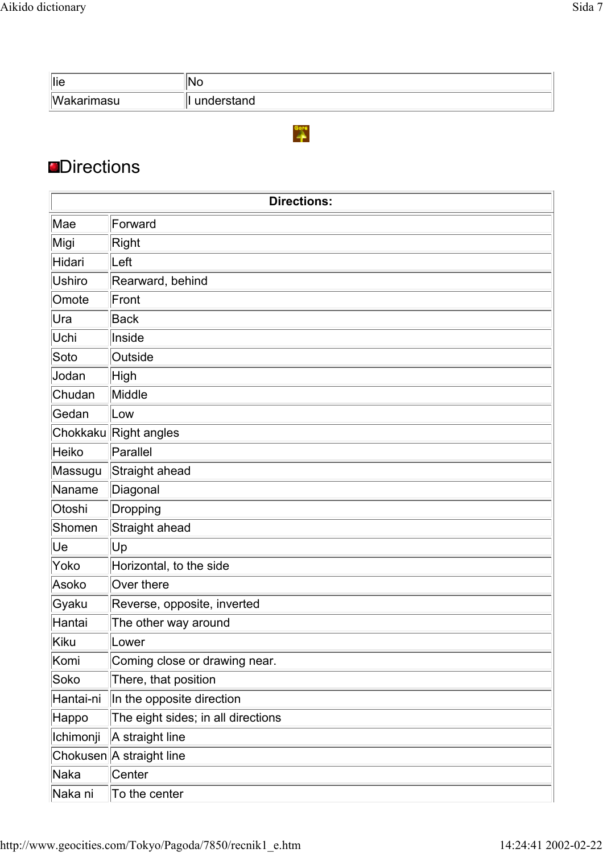| lie                      | ١N<br>◥◡   |
|--------------------------|------------|
| <i>Waka</i><br>akarımasu | understand |

 $\overset{\text{Gorr}}{\rightarrow}$ 

### **Directions**

| <b>Directions:</b> |                                    |  |
|--------------------|------------------------------------|--|
| Mae                | Forward                            |  |
| Migi               | Right                              |  |
| Hidari             | Left                               |  |
| Ushiro             | Rearward, behind                   |  |
| Omote              | Front                              |  |
| Ura                | <b>Back</b>                        |  |
| Uchi               | Inside                             |  |
| Soto               | Outside                            |  |
| Jodan              | High                               |  |
| Chudan             | Middle                             |  |
| Gedan              | Low                                |  |
|                    | Chokkaku Right angles              |  |
| Heiko              | Parallel                           |  |
| Massugu            | Straight ahead                     |  |
| Naname             | Diagonal                           |  |
| Otoshi             | Dropping                           |  |
| Shomen             | Straight ahead                     |  |
| Ue                 | Up                                 |  |
| Yoko               | Horizontal, to the side            |  |
| Asoko              | Over there                         |  |
| Gyaku              | Reverse, opposite, inverted        |  |
| Hantai             | The other way around               |  |
| Kiku               | Lower                              |  |
| Komi               | Coming close or drawing near.      |  |
| Soko               | There, that position               |  |
| Hantai-ni          | In the opposite direction          |  |
| Happo              | The eight sides; in all directions |  |
| Ichimonji          | A straight line                    |  |
|                    | Chokusen A straight line           |  |
| Naka               | Center                             |  |
| Naka ni            | To the center                      |  |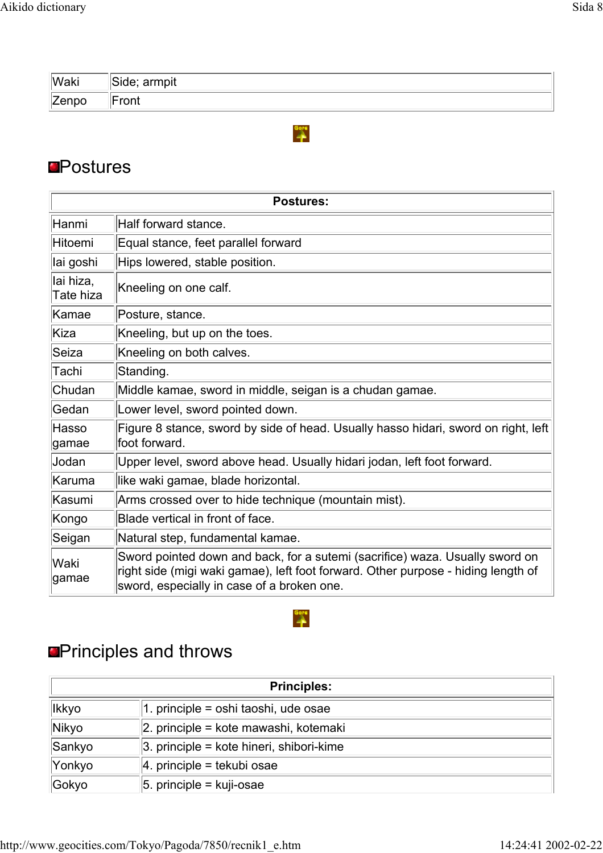| <b>Waki</b> | armpit<br>Side;  |
|-------------|------------------|
| Zenpo       | $r \sim$<br>viil |

 $\rightarrow$ 

#### **<u></u>**Postures

|                        | <b>Postures:</b>                                                                                                                                                                                                |  |
|------------------------|-----------------------------------------------------------------------------------------------------------------------------------------------------------------------------------------------------------------|--|
| Hanmi                  | Half forward stance.                                                                                                                                                                                            |  |
| Hitoemi                | Equal stance, feet parallel forward                                                                                                                                                                             |  |
| lai goshi              | Hips lowered, stable position.                                                                                                                                                                                  |  |
| lai hiza,<br>Tate hiza | Kneeling on one calf.                                                                                                                                                                                           |  |
| Kamae                  | Posture, stance.                                                                                                                                                                                                |  |
| Kiza                   | Kneeling, but up on the toes.                                                                                                                                                                                   |  |
| Seiza                  | Kneeling on both calves.                                                                                                                                                                                        |  |
| Tachi                  | Standing.                                                                                                                                                                                                       |  |
| Chudan                 | Middle kamae, sword in middle, seigan is a chudan gamae.                                                                                                                                                        |  |
| Gedan                  | Lower level, sword pointed down.                                                                                                                                                                                |  |
| Hasso<br>gamae         | Figure 8 stance, sword by side of head. Usually hasso hidari, sword on right, left<br>foot forward.                                                                                                             |  |
| Jodan                  | Upper level, sword above head. Usually hidari jodan, left foot forward.                                                                                                                                         |  |
| Karuma                 | like waki gamae, blade horizontal.                                                                                                                                                                              |  |
| Kasumi                 | Arms crossed over to hide technique (mountain mist).                                                                                                                                                            |  |
| Kongo                  | Blade vertical in front of face.                                                                                                                                                                                |  |
| Seigan                 | Natural step, fundamental kamae.                                                                                                                                                                                |  |
| lWaki<br>gamae         | Sword pointed down and back, for a sutemi (sacrifice) waza. Usually sword on<br>right side (migi waki gamae), left foot forward. Other purpose - hiding length of<br>sword, especially in case of a broken one. |  |

# **OPrinciples and throws**

| <b>Principles:</b> |                                                  |
|--------------------|--------------------------------------------------|
| lkkyo              | 1. principle = oshi taoshi, ude osae             |
| Nikyo              | $ 2.$ principle = kote mawashi, kotemaki         |
| Sankyo             | $\vert$ 3. principle = kote hineri, shibori-kime |
| Yonkyo             | $ 4.$ principle = tekubi osae                    |
| Gokyo              | $ 5.$ principle = kuji-osae                      |

 $\mathbf{r}$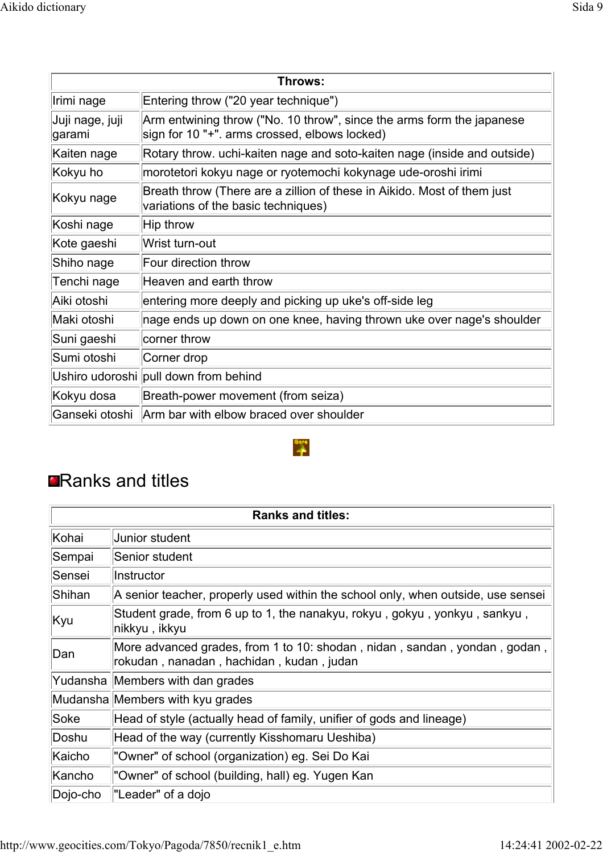| Throws:                    |                                                                                                                        |
|----------------------------|------------------------------------------------------------------------------------------------------------------------|
| Irimi nage                 | Entering throw ("20 year technique")                                                                                   |
| Juji nage, juji<br>∣garami | Arm entwining throw ("No. 10 throw", since the arms form the japanese<br>sign for 10 "+". arms crossed, elbows locked) |
| Kaiten nage                | Rotary throw. uchi-kaiten nage and soto-kaiten nage (inside and outside)                                               |
| Kokyu ho                   | morotetori kokyu nage or ryotemochi kokynage ude-oroshi irimi                                                          |
| Kokyu nage                 | Breath throw (There are a zillion of these in Aikido. Most of them just<br>variations of the basic techniques)         |
| Koshi nage                 | $ $ Hip throw                                                                                                          |
| Kote gaeshi                | Wrist turn-out                                                                                                         |
| Shiho nage                 | Four direction throw                                                                                                   |
| Tenchi nage                | Heaven and earth throw                                                                                                 |
| Aiki otoshi                | entering more deeply and picking up uke's off-side leg                                                                 |
| Maki otoshi                | nage ends up down on one knee, having thrown uke over nage's shoulder                                                  |
| Suni gaeshi                | corner throw                                                                                                           |
| Sumi otoshi                | Corner drop                                                                                                            |
|                            | Ushiro udoroshi pull down from behind                                                                                  |
| Kokyu dosa                 | Breath-power movement (from seiza)                                                                                     |
| Ganseki otoshi             | Arm bar with elbow braced over shoulder                                                                                |

 $\ddot{\hat{z}}$ 

# **Ranks and titles**

| <b>Ranks and titles:</b> |                                                                                                                       |
|--------------------------|-----------------------------------------------------------------------------------------------------------------------|
| Kohai                    | Junior student                                                                                                        |
| Sempai                   | Senior student                                                                                                        |
| Sensei                   | Instructor                                                                                                            |
| Shihan                   | A senior teacher, properly used within the school only, when outside, use sensei                                      |
| Kyu                      | Student grade, from 6 up to 1, the nanakyu, rokyu, gokyu, yonkyu, sankyu,<br> nikkyu , ikkyu                          |
| Dan                      | More advanced grades, from 1 to 10: shodan, nidan, sandan, yondan, godan,<br>rokudan, nanadan, hachidan, kudan, judan |
|                          | Yudansha Members with dan grades                                                                                      |
|                          | Mudansha Members with kyu grades                                                                                      |
| Soke                     | Head of style (actually head of family, unifier of gods and lineage)                                                  |
| Doshu                    | Head of the way (currently Kisshomaru Ueshiba)                                                                        |
| Kaicho                   | "Owner" of school (organization) eg. Sei Do Kai                                                                       |
| Kancho                   | "Owner" of school (building, hall) eg. Yugen Kan                                                                      |
| Dojo-cho                 | "Leader" of a dojo                                                                                                    |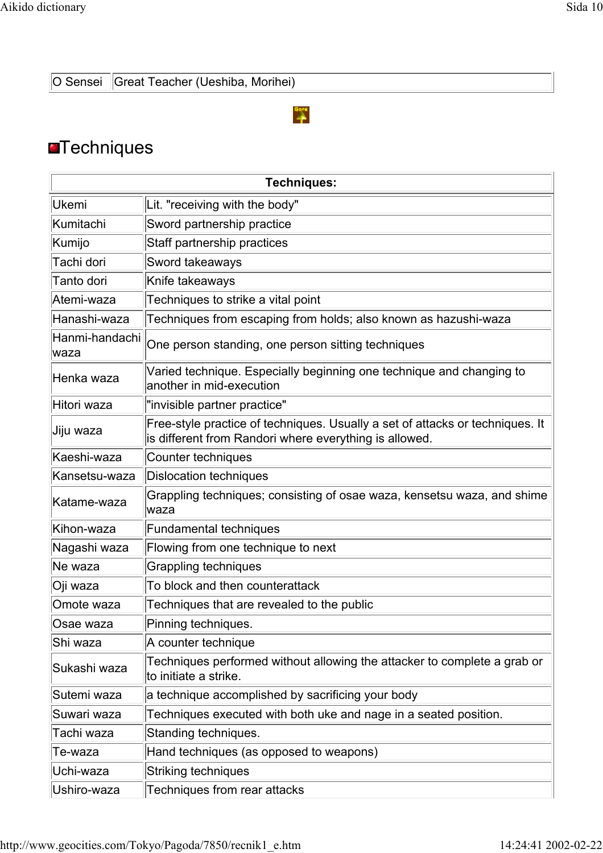O Sensei Great Teacher (Ueshiba, Morihei)

# $\overset{\text{Gore}}{\rightarrow}$

# **OTechniques**

| <b>Techniques:</b>     |                                                                                                                                         |
|------------------------|-----------------------------------------------------------------------------------------------------------------------------------------|
| <b>Ukemi</b>           | Lit. "receiving with the body"                                                                                                          |
| Kumitachi              | Sword partnership practice                                                                                                              |
| Kumijo                 | Staff partnership practices                                                                                                             |
| Tachi dori             | Sword takeaways                                                                                                                         |
| Tanto dori             | Knife takeaways                                                                                                                         |
| Atemi-waza             | Techniques to strike a vital point                                                                                                      |
| Hanashi-waza           | Techniques from escaping from holds; also known as hazushi-waza                                                                         |
| Hanmi-handachi<br>waza | One person standing, one person sitting techniques                                                                                      |
| Henka waza             | Varied technique. Especially beginning one technique and changing to<br>another in mid-execution                                        |
| Hitori waza            | "invisible partner practice"                                                                                                            |
| ∣Jiju waza             | Free-style practice of techniques. Usually a set of attacks or techniques. It<br>is different from Randori where everything is allowed. |
| Kaeshi-waza            | Counter techniques                                                                                                                      |
| Kansetsu-waza          | Dislocation techniques                                                                                                                  |
| Katame-waza            | Grappling techniques; consisting of osae waza, kensetsu waza, and shime<br>waza                                                         |
| Kihon-waza             | <b>Fundamental techniques</b>                                                                                                           |
| Nagashi waza           | Flowing from one technique to next                                                                                                      |
| Ne waza                | Grappling techniques                                                                                                                    |
| Oji waza               | To block and then counterattack                                                                                                         |
| Omote waza             | Techniques that are revealed to the public                                                                                              |
| Osae waza              | Pinning techniques                                                                                                                      |
| Shi waza               | A counter technique                                                                                                                     |
| Sukashi waza           | Techniques performed without allowing the attacker to complete a grab or<br>to initiate a strike.                                       |
| Sutemi waza            | a technique accomplished by sacrificing your body                                                                                       |
| Suwari waza            | Techniques executed with both uke and nage in a seated position.                                                                        |
| Tachi waza             | Standing techniques.                                                                                                                    |
| Te-waza                | Hand techniques (as opposed to weapons)                                                                                                 |
| Uchi-waza              | Striking techniques                                                                                                                     |
| Ushiro-waza            | Techniques from rear attacks                                                                                                            |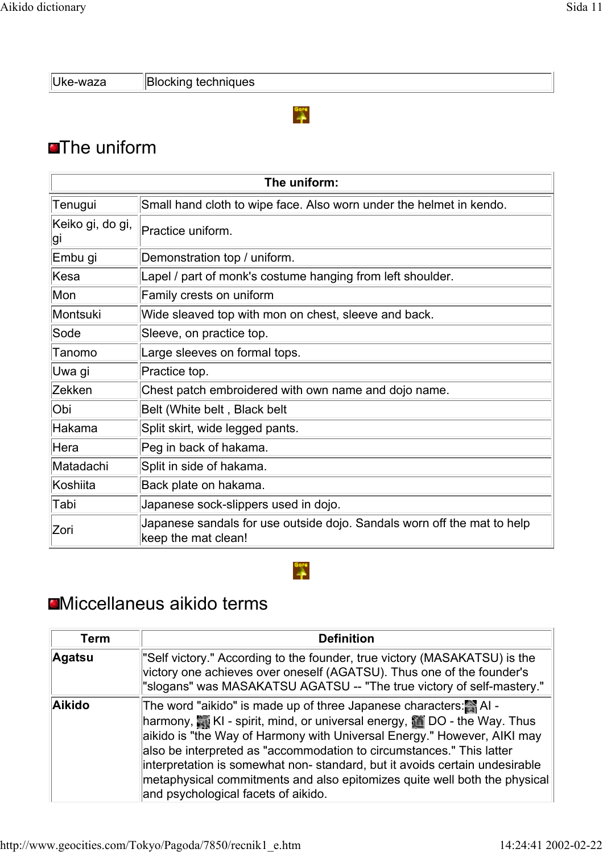Uke-waza **Blocking techniques** 

### $\frac{q_{\text{opt}}}{q}$

# **The uniform**

| The uniform:           |                                                                                                |
|------------------------|------------------------------------------------------------------------------------------------|
| Tenugui                | Small hand cloth to wipe face. Also worn under the helmet in kendo.                            |
| Keiko gi, do gi,<br>gı | Practice uniform.                                                                              |
| Embu gi                | Demonstration top / uniform.                                                                   |
| Kesa                   | Lapel / part of monk's costume hanging from left shoulder.                                     |
| Mon                    | Family crests on uniform                                                                       |
| Montsuki               | Wide sleaved top with mon on chest, sleeve and back.                                           |
| Sode                   | Sleeve, on practice top.                                                                       |
| Tanomo                 | Large sleeves on formal tops.                                                                  |
| Uwa gi                 | Practice top.                                                                                  |
| Zekken                 | Chest patch embroidered with own name and dojo name.                                           |
| Obi                    | Belt (White belt, Black belt                                                                   |
| Hakama                 | Split skirt, wide legged pants.                                                                |
| Hera                   | Peg in back of hakama.                                                                         |
| Matadachi              | Split in side of hakama.                                                                       |
| Koshiita               | Back plate on hakama.                                                                          |
| Tabi                   | Japanese sock-slippers used in dojo.                                                           |
| Zori                   | Japanese sandals for use outside dojo. Sandals worn off the mat to help<br>keep the mat clean! |

# Miccellaneus aikido terms

| Term          | <b>Definition</b>                                                                                                                                                                                                                                                                                                                                                                                                                                                                                                                           |
|---------------|---------------------------------------------------------------------------------------------------------------------------------------------------------------------------------------------------------------------------------------------------------------------------------------------------------------------------------------------------------------------------------------------------------------------------------------------------------------------------------------------------------------------------------------------|
| <b>Agatsu</b> | "Self victory." According to the founder, true victory (MASAKATSU) is the<br>victory one achieves over oneself (AGATSU). Thus one of the founder's<br>"slogans" was MASAKATSU AGATSU -- "The true victory of self-mastery."                                                                                                                                                                                                                                                                                                                 |
| Aikido        | The word "aikido" is made up of three Japanese characters: Al -<br>harmony, $\overline{\mathbb{S}}$ KI - spirit, mind, or universal energy, $\overline{\mathbb{S}}$ DO - the Way. Thus<br>aikido is "the Way of Harmony with Universal Energy." However, AIKI may<br>also be interpreted as "accommodation to circumstances." This latter<br>interpretation is somewhat non-standard, but it avoids certain undesirable<br>metaphysical commitments and also epitomizes quite well both the physical<br>and psychological facets of aikido. |

Gore<br>A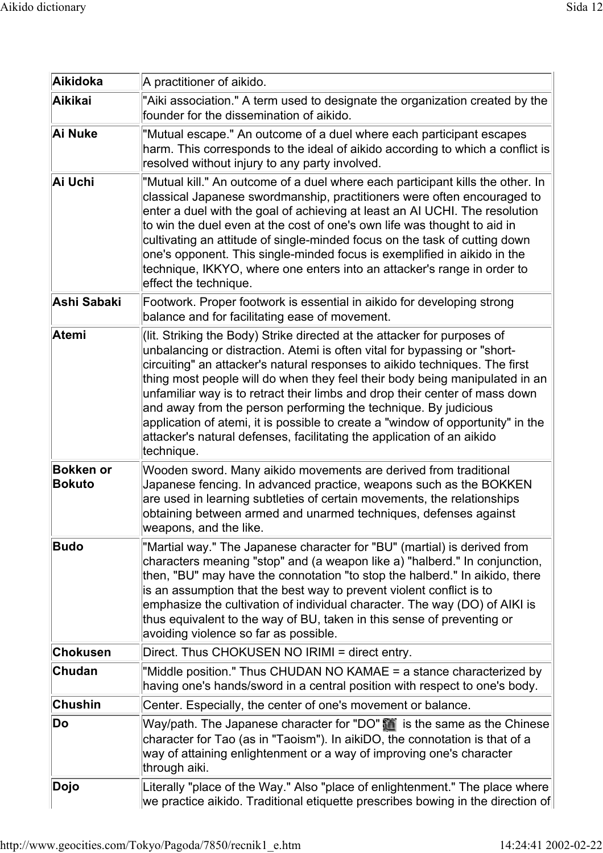| Aikidoka                          | A practitioner of aikido.                                                                                                                                                                                                                                                                                                                                                                                                                                                                                                                                                                                                                        |
|-----------------------------------|--------------------------------------------------------------------------------------------------------------------------------------------------------------------------------------------------------------------------------------------------------------------------------------------------------------------------------------------------------------------------------------------------------------------------------------------------------------------------------------------------------------------------------------------------------------------------------------------------------------------------------------------------|
| <b>Aikikai</b>                    | "Aiki association." A term used to designate the organization created by the<br>founder for the dissemination of aikido.                                                                                                                                                                                                                                                                                                                                                                                                                                                                                                                         |
| Ai Nuke                           | "Mutual escape." An outcome of a duel where each participant escapes<br>harm. This corresponds to the ideal of aikido according to which a conflict is<br>resolved without injury to any party involved.                                                                                                                                                                                                                                                                                                                                                                                                                                         |
| Ai Uchi                           | "Mutual kill." An outcome of a duel where each participant kills the other. In<br>classical Japanese swordmanship, practitioners were often encouraged to<br>enter a duel with the goal of achieving at least an AI UCHI. The resolution<br>to win the duel even at the cost of one's own life was thought to aid in<br>cultivating an attitude of single-minded focus on the task of cutting down<br>one's opponent. This single-minded focus is exemplified in aikido in the<br>technique, IKKYO, where one enters into an attacker's range in order to<br>effect the technique.                                                               |
| Ashi Sabaki                       | Footwork. Proper footwork is essential in aikido for developing strong<br>balance and for facilitating ease of movement.                                                                                                                                                                                                                                                                                                                                                                                                                                                                                                                         |
| <b>Atemi</b>                      | (lit. Striking the Body) Strike directed at the attacker for purposes of<br>unbalancing or distraction. Atemi is often vital for bypassing or "short-<br>circuiting" an attacker's natural responses to aikido techniques. The first<br>thing most people will do when they feel their body being manipulated in an<br>unfamiliar way is to retract their limbs and drop their center of mass down<br>and away from the person performing the technique. By judicious<br>application of atemi, it is possible to create a "window of opportunity" in the<br>attacker's natural defenses, facilitating the application of an aikido<br>technique. |
| <b>Bokken or</b><br><b>Bokuto</b> | Wooden sword. Many aikido movements are derived from traditional<br>Japanese fencing. In advanced practice, weapons such as the BOKKEN<br>are used in learning subtleties of certain movements, the relationships<br>obtaining between armed and unarmed techniques, defenses against<br>weapons, and the like.                                                                                                                                                                                                                                                                                                                                  |
| <b>Budo</b>                       | "Martial way." The Japanese character for "BU" (martial) is derived from<br>characters meaning "stop" and (a weapon like a) "halberd." In conjunction,<br>then, "BU" may have the connotation "to stop the halberd." In aikido, there<br>is an assumption that the best way to prevent violent conflict is to<br>emphasize the cultivation of individual character. The way (DO) of AIKI is<br>thus equivalent to the way of BU, taken in this sense of preventing or<br>avoiding violence so far as possible.                                                                                                                                   |
| <b>Chokusen</b>                   | Direct. Thus CHOKUSEN NO IRIMI = direct entry.                                                                                                                                                                                                                                                                                                                                                                                                                                                                                                                                                                                                   |
| Chudan                            | "Middle position." Thus CHUDAN NO KAMAE = a stance characterized by<br>having one's hands/sword in a central position with respect to one's body.                                                                                                                                                                                                                                                                                                                                                                                                                                                                                                |
| <b>Chushin</b>                    | Center. Especially, the center of one's movement or balance.                                                                                                                                                                                                                                                                                                                                                                                                                                                                                                                                                                                     |
| Do                                | Way/path. The Japanese character for "DO" in is the same as the Chinese<br>character for Tao (as in "Taoism"). In aikiDO, the connotation is that of a<br>way of attaining enlightenment or a way of improving one's character<br>through aiki.                                                                                                                                                                                                                                                                                                                                                                                                  |
| Dojo                              | Literally "place of the Way." Also "place of enlightenment." The place where<br>we practice aikido. Traditional etiquette prescribes bowing in the direction of                                                                                                                                                                                                                                                                                                                                                                                                                                                                                  |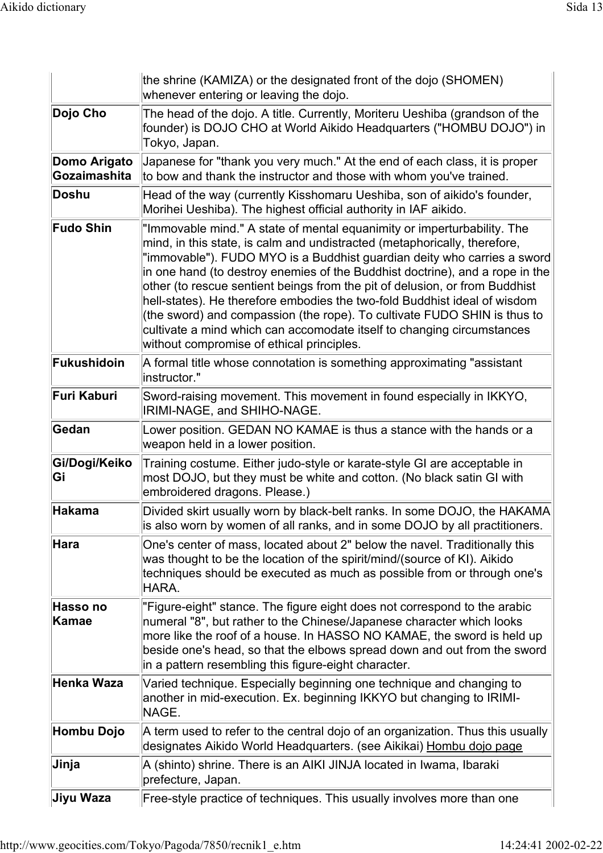|                              | the shrine (KAMIZA) or the designated front of the dojo (SHOMEN)<br>whenever entering or leaving the dojo.                                                                                                                                                                                                                                                                                                                                                                                                                                                                                                                                                                     |
|------------------------------|--------------------------------------------------------------------------------------------------------------------------------------------------------------------------------------------------------------------------------------------------------------------------------------------------------------------------------------------------------------------------------------------------------------------------------------------------------------------------------------------------------------------------------------------------------------------------------------------------------------------------------------------------------------------------------|
| Dojo Cho                     | The head of the dojo. A title. Currently, Moriteru Ueshiba (grandson of the<br>founder) is DOJO CHO at World Aikido Headquarters ("HOMBU DOJO") in<br>Tokyo, Japan.                                                                                                                                                                                                                                                                                                                                                                                                                                                                                                            |
| Domo Arigato<br>Gozaimashita | Japanese for "thank you very much." At the end of each class, it is proper<br>to bow and thank the instructor and those with whom you've trained.                                                                                                                                                                                                                                                                                                                                                                                                                                                                                                                              |
| Doshu                        | Head of the way (currently Kisshomaru Ueshiba, son of aikido's founder,<br>Morihei Ueshiba). The highest official authority in IAF aikido.                                                                                                                                                                                                                                                                                                                                                                                                                                                                                                                                     |
| <b>Fudo Shin</b>             | "Immovable mind." A state of mental equanimity or imperturbability. The<br>mind, in this state, is calm and undistracted (metaphorically, therefore,<br>"immovable"). FUDO MYO is a Buddhist guardian deity who carries a sword<br>in one hand (to destroy enemies of the Buddhist doctrine), and a rope in the<br>other (to rescue sentient beings from the pit of delusion, or from Buddhist<br>hell-states). He therefore embodies the two-fold Buddhist ideal of wisdom<br>(the sword) and compassion (the rope). To cultivate FUDO SHIN is thus to<br>cultivate a mind which can accomodate itself to changing circumstances<br>without compromise of ethical principles. |
| Fukushidoin                  | A formal title whose connotation is something approximating "assistant<br>linstructor."                                                                                                                                                                                                                                                                                                                                                                                                                                                                                                                                                                                        |
| Furi Kaburi                  | Sword-raising movement. This movement in found especially in IKKYO,<br>IRIMI-NAGE, and SHIHO-NAGE.                                                                                                                                                                                                                                                                                                                                                                                                                                                                                                                                                                             |
| Gedan                        | Lower position. GEDAN NO KAMAE is thus a stance with the hands or a<br>weapon held in a lower position.                                                                                                                                                                                                                                                                                                                                                                                                                                                                                                                                                                        |
| Gi/Dogi/Keiko<br>Gi          | Training costume. Either judo-style or karate-style GI are acceptable in<br>most DOJO, but they must be white and cotton. (No black satin GI with<br>embroidered dragons. Please.)                                                                                                                                                                                                                                                                                                                                                                                                                                                                                             |
| Hakama                       | Divided skirt usually worn by black-belt ranks. In some DOJO, the HAKAMA<br>is also worn by women of all ranks, and in some DOJO by all practitioners.                                                                                                                                                                                                                                                                                                                                                                                                                                                                                                                         |
| $H$ ara                      | One's center of mass, located about 2" below the navel. Traditionally this<br>was thought to be the location of the spirit/mind/(source of KI). Aikido<br>techniques should be executed as much as possible from or through one's<br>HARA.                                                                                                                                                                                                                                                                                                                                                                                                                                     |
| Hasso no<br>Kamae            | "Figure-eight" stance. The figure eight does not correspond to the arabic<br>numeral "8", but rather to the Chinese/Japanese character which looks<br>more like the roof of a house. In HASSO NO KAMAE, the sword is held up<br>beside one's head, so that the elbows spread down and out from the sword<br>in a pattern resembling this figure-eight character.                                                                                                                                                                                                                                                                                                               |
| Henka Waza                   | Varied technique. Especially beginning one technique and changing to<br>another in mid-execution. Ex. beginning IKKYO but changing to IRIMI-<br>NAGE.                                                                                                                                                                                                                                                                                                                                                                                                                                                                                                                          |
| Hombu Dojo                   | A term used to refer to the central dojo of an organization. Thus this usually<br>designates Aikido World Headquarters. (see Aikikai) Hombu dojo page                                                                                                                                                                                                                                                                                                                                                                                                                                                                                                                          |
| Jinja                        | A (shinto) shrine. There is an AIKI JINJA located in Iwama, Ibaraki<br>prefecture, Japan.                                                                                                                                                                                                                                                                                                                                                                                                                                                                                                                                                                                      |
| Jiyu Waza                    | Free-style practice of techniques. This usually involves more than one                                                                                                                                                                                                                                                                                                                                                                                                                                                                                                                                                                                                         |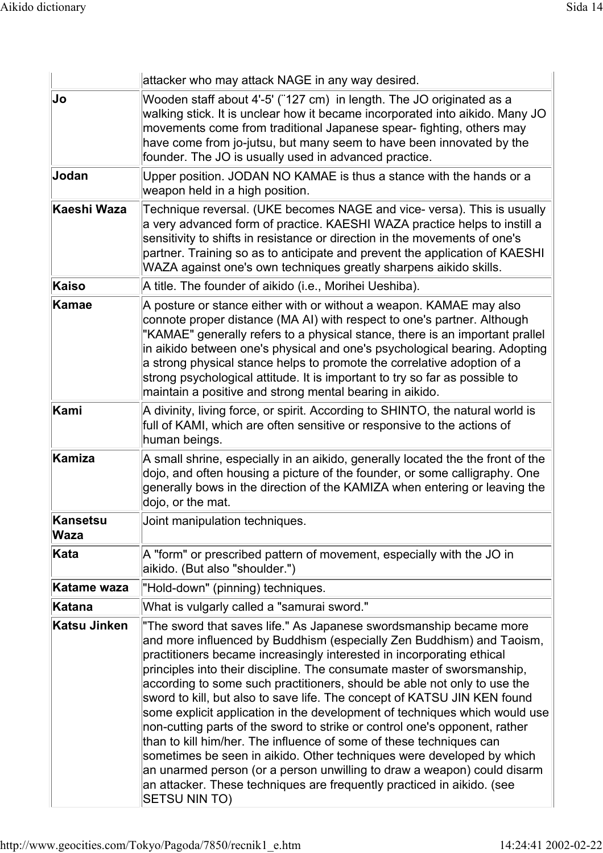|                  | attacker who may attack NAGE in any way desired.                                                                                                                                                                                                                                                                                                                                                                                                                                                                                                                                                                                                                                                                                                                                                                                                                                                                                                |
|------------------|-------------------------------------------------------------------------------------------------------------------------------------------------------------------------------------------------------------------------------------------------------------------------------------------------------------------------------------------------------------------------------------------------------------------------------------------------------------------------------------------------------------------------------------------------------------------------------------------------------------------------------------------------------------------------------------------------------------------------------------------------------------------------------------------------------------------------------------------------------------------------------------------------------------------------------------------------|
| Jo               | Wooden staff about 4'-5' ("127 cm) in length. The JO originated as a<br>walking stick. It is unclear how it became incorporated into aikido. Many JO<br>movements come from traditional Japanese spear- fighting, others may<br>have come from jo-jutsu, but many seem to have been innovated by the<br>founder. The JO is usually used in advanced practice.                                                                                                                                                                                                                                                                                                                                                                                                                                                                                                                                                                                   |
| Jodan            | Upper position. JODAN NO KAMAE is thus a stance with the hands or a<br>weapon held in a high position.                                                                                                                                                                                                                                                                                                                                                                                                                                                                                                                                                                                                                                                                                                                                                                                                                                          |
| Kaeshi Waza      | Technique reversal. (UKE becomes NAGE and vice- versa). This is usually<br>a very advanced form of practice. KAESHI WAZA practice helps to instill a<br>sensitivity to shifts in resistance or direction in the movements of one's<br>partner. Training so as to anticipate and prevent the application of KAESHI<br>WAZA against one's own techniques greatly sharpens aikido skills.                                                                                                                                                                                                                                                                                                                                                                                                                                                                                                                                                          |
| Kaiso            | A title. The founder of aikido (i.e., Morihei Ueshiba).                                                                                                                                                                                                                                                                                                                                                                                                                                                                                                                                                                                                                                                                                                                                                                                                                                                                                         |
| Kamae            | A posture or stance either with or without a weapon. KAMAE may also<br>connote proper distance (MA AI) with respect to one's partner. Although<br>"KAMAE" generally refers to a physical stance, there is an important prallel<br>in aikido between one's physical and one's psychological bearing. Adopting<br>a strong physical stance helps to promote the correlative adoption of a<br>strong psychological attitude. It is important to try so far as possible to<br>maintain a positive and strong mental bearing in aikido.                                                                                                                                                                                                                                                                                                                                                                                                              |
| Kami             | A divinity, living force, or spirit. According to SHINTO, the natural world is<br>full of KAMI, which are often sensitive or responsive to the actions of<br>human beings.                                                                                                                                                                                                                                                                                                                                                                                                                                                                                                                                                                                                                                                                                                                                                                      |
| Kamiza           | A small shrine, especially in an aikido, generally located the the front of the<br>dojo, and often housing a picture of the founder, or some calligraphy. One<br>generally bows in the direction of the KAMIZA when entering or leaving the<br>dojo, or the mat.                                                                                                                                                                                                                                                                                                                                                                                                                                                                                                                                                                                                                                                                                |
| Kansetsu<br>Waza | Joint manipulation techniques.                                                                                                                                                                                                                                                                                                                                                                                                                                                                                                                                                                                                                                                                                                                                                                                                                                                                                                                  |
| Kata             | A "form" or prescribed pattern of movement, especially with the JO in<br>aikido. (But also "shoulder.")                                                                                                                                                                                                                                                                                                                                                                                                                                                                                                                                                                                                                                                                                                                                                                                                                                         |
| Katame waza      | "Hold-down" (pinning) techniques.                                                                                                                                                                                                                                                                                                                                                                                                                                                                                                                                                                                                                                                                                                                                                                                                                                                                                                               |
| Katana           | What is vulgarly called a "samurai sword."                                                                                                                                                                                                                                                                                                                                                                                                                                                                                                                                                                                                                                                                                                                                                                                                                                                                                                      |
| Katsu Jinken     | The sword that saves life." As Japanese swordsmanship became more<br>and more influenced by Buddhism (especially Zen Buddhism) and Taoism,<br>practitioners became increasingly interested in incorporating ethical<br>principles into their discipline. The consumate master of sworsmanship,<br>according to some such practitioners, should be able not only to use the<br>sword to kill, but also to save life. The concept of KATSU JIN KEN found<br>some explicit application in the development of techniques which would use<br>non-cutting parts of the sword to strike or control one's opponent, rather<br>than to kill him/her. The influence of some of these techniques can<br>sometimes be seen in aikido. Other techniques were developed by which<br>an unarmed person (or a person unwilling to draw a weapon) could disarm<br>an attacker. These techniques are frequently practiced in aikido. (see<br><b>SETSU NIN TO)</b> |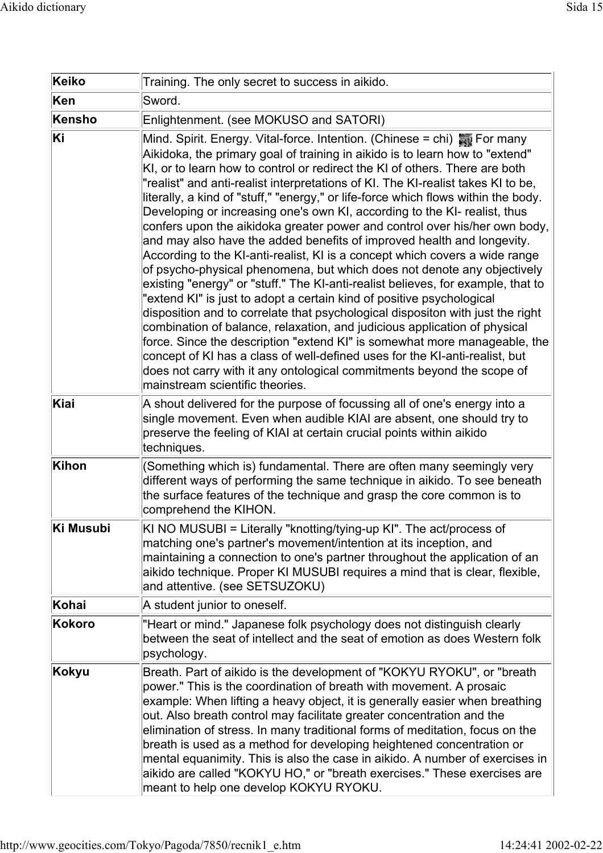| <b>Keiko</b>  | Training. The only secret to success in aikido.                                                                                                                                                                                                                                                                                                                                                                                                                                                                                                                                                                                                                                                                                                                                                                                                                                                                                                                                                                                                                                                                                                                                                                                                                                                                                                                                                                                     |
|---------------|-------------------------------------------------------------------------------------------------------------------------------------------------------------------------------------------------------------------------------------------------------------------------------------------------------------------------------------------------------------------------------------------------------------------------------------------------------------------------------------------------------------------------------------------------------------------------------------------------------------------------------------------------------------------------------------------------------------------------------------------------------------------------------------------------------------------------------------------------------------------------------------------------------------------------------------------------------------------------------------------------------------------------------------------------------------------------------------------------------------------------------------------------------------------------------------------------------------------------------------------------------------------------------------------------------------------------------------------------------------------------------------------------------------------------------------|
| Ken           | Sword.                                                                                                                                                                                                                                                                                                                                                                                                                                                                                                                                                                                                                                                                                                                                                                                                                                                                                                                                                                                                                                                                                                                                                                                                                                                                                                                                                                                                                              |
| <b>Kensho</b> | Enlightenment. (see MOKUSO and SATORI)                                                                                                                                                                                                                                                                                                                                                                                                                                                                                                                                                                                                                                                                                                                                                                                                                                                                                                                                                                                                                                                                                                                                                                                                                                                                                                                                                                                              |
| Ki            | Mind. Spirit. Energy. Vital-force. Intention. (Chinese = chi) $\frac{1}{200}$ For many<br>Aikidoka, the primary goal of training in aikido is to learn how to "extend"<br>KI, or to learn how to control or redirect the KI of others. There are both<br>"realist" and anti-realist interpretations of KI. The KI-realist takes KI to be,<br>literally, a kind of "stuff," "energy," or life-force which flows within the body.<br>Developing or increasing one's own KI, according to the KI- realist, thus<br>confers upon the aikidoka greater power and control over his/her own body,<br>and may also have the added benefits of improved health and longevity.<br>According to the KI-anti-realist, KI is a concept which covers a wide range<br>of psycho-physical phenomena, but which does not denote any objectively<br>existing "energy" or "stuff." The KI-anti-realist believes, for example, that to<br>"extend KI" is just to adopt a certain kind of positive psychological<br>disposition and to correlate that psychological dispositon with just the right<br>combination of balance, relaxation, and judicious application of physical<br>force. Since the description "extend KI" is somewhat more manageable, the<br>concept of KI has a class of well-defined uses for the KI-anti-realist, but<br>does not carry with it any ontological commitments beyond the scope of<br>mainstream scientific theories. |
| Kiai          | A shout delivered for the purpose of focussing all of one's energy into a<br>single movement. Even when audible KIAI are absent, one should try to<br>preserve the feeling of KIAI at certain crucial points within aikido<br>techniques.                                                                                                                                                                                                                                                                                                                                                                                                                                                                                                                                                                                                                                                                                                                                                                                                                                                                                                                                                                                                                                                                                                                                                                                           |
| Kihon         | (Something which is) fundamental. There are often many seemingly very<br>different ways of performing the same technique in aikido. To see beneath<br>the surface features of the technique and grasp the core common is to<br>comprehend the KIHON.                                                                                                                                                                                                                                                                                                                                                                                                                                                                                                                                                                                                                                                                                                                                                                                                                                                                                                                                                                                                                                                                                                                                                                                |
| Ki Musubi     | KI NO MUSUBI = Literally "knotting/tying-up KI". The act/process of<br>matching one's partner's movement/intention at its inception, and<br>maintaining a connection to one's partner throughout the application of an<br>aikido technique. Proper KI MUSUBI requires a mind that is clear, flexible,<br>and attentive. (see SETSUZOKU)                                                                                                                                                                                                                                                                                                                                                                                                                                                                                                                                                                                                                                                                                                                                                                                                                                                                                                                                                                                                                                                                                             |
| Kohai         | A student junior to oneself.                                                                                                                                                                                                                                                                                                                                                                                                                                                                                                                                                                                                                                                                                                                                                                                                                                                                                                                                                                                                                                                                                                                                                                                                                                                                                                                                                                                                        |
| <b>Kokoro</b> | "Heart or mind." Japanese folk psychology does not distinguish clearly<br>between the seat of intellect and the seat of emotion as does Western folk<br>psychology.                                                                                                                                                                                                                                                                                                                                                                                                                                                                                                                                                                                                                                                                                                                                                                                                                                                                                                                                                                                                                                                                                                                                                                                                                                                                 |
| <b>Kokyu</b>  | Breath. Part of aikido is the development of "KOKYU RYOKU", or "breath<br>power." This is the coordination of breath with movement. A prosaic<br>example: When lifting a heavy object, it is generally easier when breathing<br>out. Also breath control may facilitate greater concentration and the<br>elimination of stress. In many traditional forms of meditation, focus on the<br>breath is used as a method for developing heightened concentration or<br>mental equanimity. This is also the case in aikido. A number of exercises in<br>aikido are called "KOKYU HO," or "breath exercises." These exercises are<br>meant to help one develop KOKYU RYOKU.                                                                                                                                                                                                                                                                                                                                                                                                                                                                                                                                                                                                                                                                                                                                                                |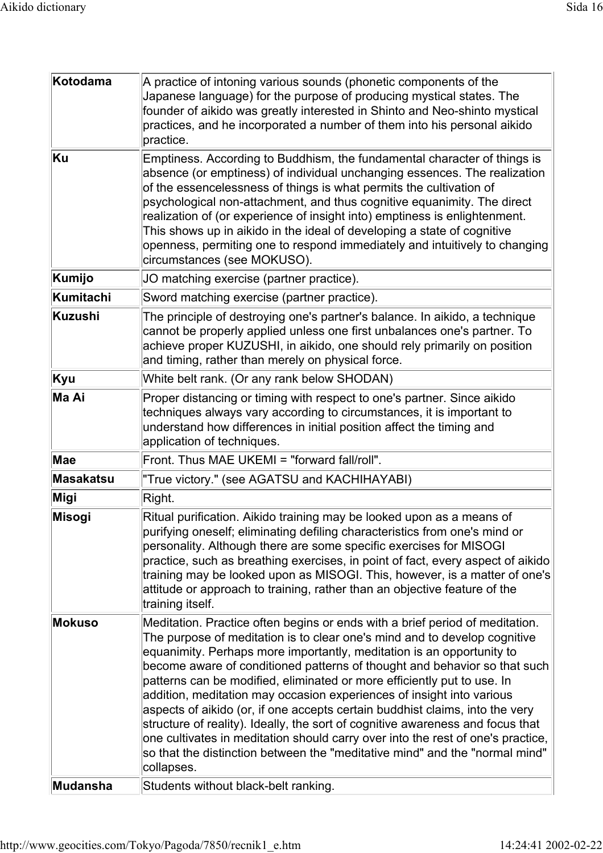| Kotodama         | A practice of intoning various sounds (phonetic components of the<br>Japanese language) for the purpose of producing mystical states. The<br>founder of aikido was greatly interested in Shinto and Neo-shinto mystical<br>practices, and he incorporated a number of them into his personal aikido<br>practice.                                                                                                                                                                                                                                                                                                                                                                                                                                                                                                      |
|------------------|-----------------------------------------------------------------------------------------------------------------------------------------------------------------------------------------------------------------------------------------------------------------------------------------------------------------------------------------------------------------------------------------------------------------------------------------------------------------------------------------------------------------------------------------------------------------------------------------------------------------------------------------------------------------------------------------------------------------------------------------------------------------------------------------------------------------------|
| Ku               | Emptiness. According to Buddhism, the fundamental character of things is<br>absence (or emptiness) of individual unchanging essences. The realization<br>of the essencelessness of things is what permits the cultivation of<br>psychological non-attachment, and thus cognitive equanimity. The direct<br>realization of (or experience of insight into) emptiness is enlightenment.<br>This shows up in aikido in the ideal of developing a state of cognitive<br>openness, permiting one to respond immediately and intuitively to changing<br>circumstances (see MOKUSO).                                                                                                                                                                                                                                         |
| Kumijo           | JO matching exercise (partner practice).                                                                                                                                                                                                                                                                                                                                                                                                                                                                                                                                                                                                                                                                                                                                                                              |
| <b>Kumitachi</b> | Sword matching exercise (partner practice).                                                                                                                                                                                                                                                                                                                                                                                                                                                                                                                                                                                                                                                                                                                                                                           |
| Kuzushi          | The principle of destroying one's partner's balance. In aikido, a technique<br>cannot be properly applied unless one first unbalances one's partner. To<br>achieve proper KUZUSHI, in aikido, one should rely primarily on position<br>and timing, rather than merely on physical force.                                                                                                                                                                                                                                                                                                                                                                                                                                                                                                                              |
| Kyu              | White belt rank. (Or any rank below SHODAN)                                                                                                                                                                                                                                                                                                                                                                                                                                                                                                                                                                                                                                                                                                                                                                           |
| Ma Ai            | Proper distancing or timing with respect to one's partner. Since aikido<br>techniques always vary according to circumstances, it is important to<br>understand how differences in initial position affect the timing and<br>application of techniques.                                                                                                                                                                                                                                                                                                                                                                                                                                                                                                                                                                |
| Mae              | Front. Thus MAE UKEMI = "forward fall/roll".                                                                                                                                                                                                                                                                                                                                                                                                                                                                                                                                                                                                                                                                                                                                                                          |
| <b>Masakatsu</b> | "True victory." (see AGATSU and KACHIHAYABI)                                                                                                                                                                                                                                                                                                                                                                                                                                                                                                                                                                                                                                                                                                                                                                          |
| Migi             | Right.                                                                                                                                                                                                                                                                                                                                                                                                                                                                                                                                                                                                                                                                                                                                                                                                                |
| Misogi           | Ritual purification. Aikido training may be looked upon as a means of<br>purifying oneself; eliminating defiling characteristics from one's mind or<br>personality. Although there are some specific exercises for MISOGI<br>practice, such as breathing exercises, in point of fact, every aspect of aikido<br>training may be looked upon as MISOGI. This, however, is a matter of one's<br>attitude or approach to training, rather than an objective feature of the<br>training itself.                                                                                                                                                                                                                                                                                                                           |
| <b>Mokuso</b>    | Meditation. Practice often begins or ends with a brief period of meditation.<br>The purpose of meditation is to clear one's mind and to develop cognitive<br>equanimity. Perhaps more importantly, meditation is an opportunity to<br>become aware of conditioned patterns of thought and behavior so that such<br>patterns can be modified, eliminated or more efficiently put to use. In<br>addition, meditation may occasion experiences of insight into various<br>aspects of aikido (or, if one accepts certain buddhist claims, into the very<br>structure of reality). Ideally, the sort of cognitive awareness and focus that<br>one cultivates in meditation should carry over into the rest of one's practice,<br>so that the distinction between the "meditative mind" and the "normal mind"<br>collapses. |
| Mudansha         | Students without black-belt ranking.                                                                                                                                                                                                                                                                                                                                                                                                                                                                                                                                                                                                                                                                                                                                                                                  |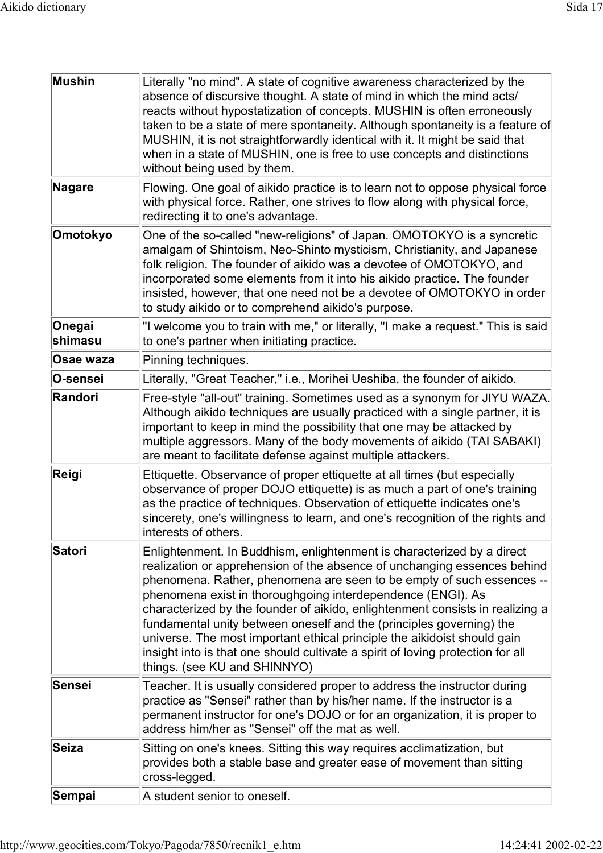| Mushin            | Literally "no mind". A state of cognitive awareness characterized by the<br>absence of discursive thought. A state of mind in which the mind acts/<br>reacts without hypostatization of concepts. MUSHIN is often erroneously<br>taken to be a state of mere spontaneity. Although spontaneity is a feature of<br>MUSHIN, it is not straightforwardly identical with it. It might be said that<br>when in a state of MUSHIN, one is free to use concepts and distinctions<br>without being used by them.                                                                                                                                           |
|-------------------|----------------------------------------------------------------------------------------------------------------------------------------------------------------------------------------------------------------------------------------------------------------------------------------------------------------------------------------------------------------------------------------------------------------------------------------------------------------------------------------------------------------------------------------------------------------------------------------------------------------------------------------------------|
| Nagare            | Flowing. One goal of aikido practice is to learn not to oppose physical force<br>with physical force. Rather, one strives to flow along with physical force,<br>redirecting it to one's advantage.                                                                                                                                                                                                                                                                                                                                                                                                                                                 |
| Omotokyo          | One of the so-called "new-religions" of Japan. OMOTOKYO is a syncretic<br>amalgam of Shintoism, Neo-Shinto mysticism, Christianity, and Japanese<br>folk religion. The founder of aikido was a devotee of OMOTOKYO, and<br>incorporated some elements from it into his aikido practice. The founder<br>insisted, however, that one need not be a devotee of OMOTOKYO in order<br>to study aikido or to comprehend aikido's purpose.                                                                                                                                                                                                                |
| Onegai<br>shimasu | "I welcome you to train with me," or literally, "I make a request." This is said<br>to one's partner when initiating practice.                                                                                                                                                                                                                                                                                                                                                                                                                                                                                                                     |
| Osae waza         | Pinning techniques.                                                                                                                                                                                                                                                                                                                                                                                                                                                                                                                                                                                                                                |
| O-sensei          | Literally, "Great Teacher," i.e., Morihei Ueshiba, the founder of aikido.                                                                                                                                                                                                                                                                                                                                                                                                                                                                                                                                                                          |
| Randori           | Free-style "all-out" training. Sometimes used as a synonym for JIYU WAZA.<br>Although aikido techniques are usually practiced with a single partner, it is<br>important to keep in mind the possibility that one may be attacked by<br>multiple aggressors. Many of the body movements of aikido (TAI SABAKI)<br>are meant to facilitate defense against multiple attackers.                                                                                                                                                                                                                                                                       |
| Reigi             | Ettiquette. Observance of proper ettiquette at all times (but especially<br>observance of proper DOJO ettiquette) is as much a part of one's training<br>as the practice of techniques. Observation of ettiquette indicates one's<br>sincerety, one's willingness to learn, and one's recognition of the rights and<br>interests of others.                                                                                                                                                                                                                                                                                                        |
| Satori            | Enlightenment. In Buddhism, enlightenment is characterized by a direct<br>realization or apprehension of the absence of unchanging essences behind<br>phenomena. Rather, phenomena are seen to be empty of such essences --<br>phenomena exist in thoroughgoing interdependence (ENGI). As<br>characterized by the founder of aikido, enlightenment consists in realizing a<br>fundamental unity between oneself and the (principles governing) the<br>universe. The most important ethical principle the aikidoist should gain<br>insight into is that one should cultivate a spirit of loving protection for all<br>things. (see KU and SHINNYO) |
| <b>Sensei</b>     | Teacher. It is usually considered proper to address the instructor during<br>practice as "Sensei" rather than by his/her name. If the instructor is a<br>permanent instructor for one's DOJO or for an organization, it is proper to<br>address him/her as "Sensei" off the mat as well.                                                                                                                                                                                                                                                                                                                                                           |
| Seiza             | Sitting on one's knees. Sitting this way requires acclimatization, but<br>provides both a stable base and greater ease of movement than sitting<br>cross-legged.                                                                                                                                                                                                                                                                                                                                                                                                                                                                                   |
| Sempai            | A student senior to oneself.                                                                                                                                                                                                                                                                                                                                                                                                                                                                                                                                                                                                                       |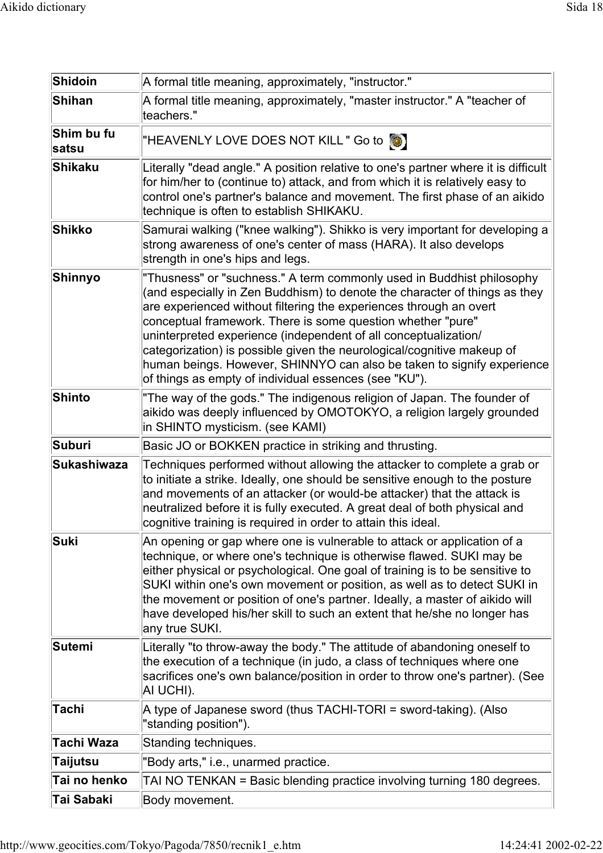| Shidoin             | A formal title meaning, approximately, "instructor."                                                                                                                                                                                                                                                                                                                                                                                                                                                                                                                     |
|---------------------|--------------------------------------------------------------------------------------------------------------------------------------------------------------------------------------------------------------------------------------------------------------------------------------------------------------------------------------------------------------------------------------------------------------------------------------------------------------------------------------------------------------------------------------------------------------------------|
| <b>Shihan</b>       | A formal title meaning, approximately, "master instructor." A "teacher of<br>teachers."                                                                                                                                                                                                                                                                                                                                                                                                                                                                                  |
| Shim bu fu<br>satsu | "HEAVENLY LOVE DOES NOT KILL" Go to [O]                                                                                                                                                                                                                                                                                                                                                                                                                                                                                                                                  |
| Shikaku             | Literally "dead angle." A position relative to one's partner where it is difficult<br>for him/her to (continue to) attack, and from which it is relatively easy to<br>control one's partner's balance and movement. The first phase of an aikido<br>technique is often to establish SHIKAKU.                                                                                                                                                                                                                                                                             |
| Shikko              | Samurai walking ("knee walking"). Shikko is very important for developing a<br>strong awareness of one's center of mass (HARA). It also develops<br>strength in one's hips and legs.                                                                                                                                                                                                                                                                                                                                                                                     |
| Shinnyo             | "Thusness" or "suchness." A term commonly used in Buddhist philosophy<br>(and especially in Zen Buddhism) to denote the character of things as they<br>are experienced without filtering the experiences through an overt<br>conceptual framework. There is some question whether "pure"<br>uninterpreted experience (independent of all conceptualization/<br>categorization) is possible given the neurological/cognitive makeup of<br>human beings. However, SHINNYO can also be taken to signify experience<br>of things as empty of individual essences (see "KU"). |
| <b>Shinto</b>       | "The way of the gods." The indigenous religion of Japan. The founder of<br>aikido was deeply influenced by OMOTOKYO, a religion largely grounded<br>in SHINTO mysticism. (see KAMI)                                                                                                                                                                                                                                                                                                                                                                                      |
| Suburi              | Basic JO or BOKKEN practice in striking and thrusting.                                                                                                                                                                                                                                                                                                                                                                                                                                                                                                                   |
| Sukashiwaza         | Techniques performed without allowing the attacker to complete a grab or<br>to initiate a strike. Ideally, one should be sensitive enough to the posture<br>and movements of an attacker (or would-be attacker) that the attack is<br>neutralized before it is fully executed. A great deal of both physical and<br>cognitive training is required in order to attain this ideal.                                                                                                                                                                                        |
| Suki                |                                                                                                                                                                                                                                                                                                                                                                                                                                                                                                                                                                          |
|                     | An opening or gap where one is vulnerable to attack or application of a<br>technique, or where one's technique is otherwise flawed. SUKI may be<br>either physical or psychological. One goal of training is to be sensitive to<br>SUKI within one's own movement or position, as well as to detect SUKI in<br>the movement or position of one's partner. Ideally, a master of aikido will<br>have developed his/her skill to such an extent that he/she no longer has<br>any true SUKI.                                                                                 |
| Sutemi              | Literally "to throw-away the body." The attitude of abandoning oneself to<br>the execution of a technique (in judo, a class of techniques where one<br>sacrifices one's own balance/position in order to throw one's partner). (See<br>AI UCHI).                                                                                                                                                                                                                                                                                                                         |
| <b>Tachi</b>        | A type of Japanese sword (thus TACHI-TORI = sword-taking). (Also<br>"standing position").                                                                                                                                                                                                                                                                                                                                                                                                                                                                                |
| Tachi Waza          | Standing techniques.                                                                                                                                                                                                                                                                                                                                                                                                                                                                                                                                                     |
| <b>Taijutsu</b>     | "Body arts," i.e., unarmed practice.                                                                                                                                                                                                                                                                                                                                                                                                                                                                                                                                     |
| Tai no henko        | TAI NO TENKAN = Basic blending practice involving turning 180 degrees.                                                                                                                                                                                                                                                                                                                                                                                                                                                                                                   |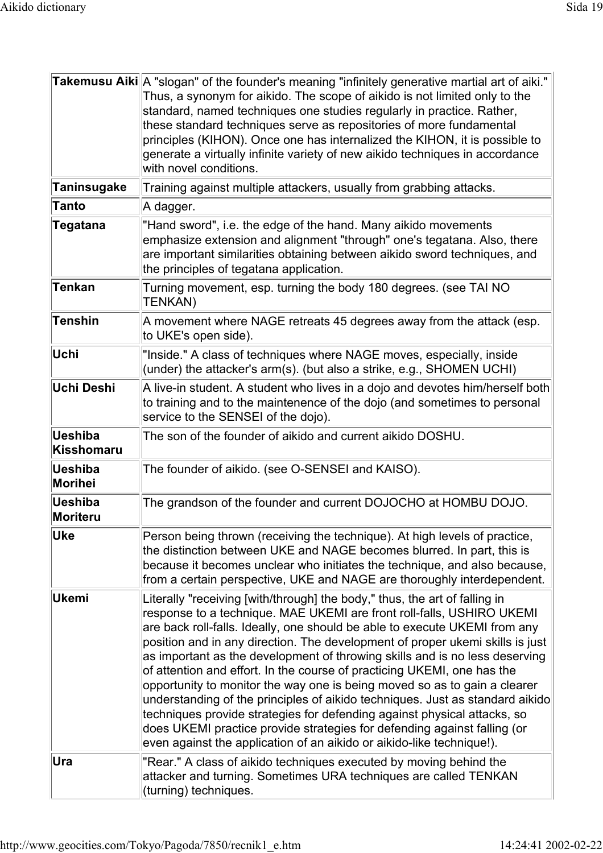|                            | Takemusu Aiki A "slogan" of the founder's meaning "infinitely generative martial art of aiki."<br>Thus, a synonym for aikido. The scope of aikido is not limited only to the<br>standard, named techniques one studies regularly in practice. Rather,<br>these standard techniques serve as repositories of more fundamental<br>principles (KIHON). Once one has internalized the KIHON, it is possible to<br>generate a virtually infinite variety of new aikido techniques in accordance<br>with novel conditions.                                                                                                                                                                                                                                                                                                                                                        |
|----------------------------|-----------------------------------------------------------------------------------------------------------------------------------------------------------------------------------------------------------------------------------------------------------------------------------------------------------------------------------------------------------------------------------------------------------------------------------------------------------------------------------------------------------------------------------------------------------------------------------------------------------------------------------------------------------------------------------------------------------------------------------------------------------------------------------------------------------------------------------------------------------------------------|
| <b>Taninsugake</b>         | Training against multiple attackers, usually from grabbing attacks.                                                                                                                                                                                                                                                                                                                                                                                                                                                                                                                                                                                                                                                                                                                                                                                                         |
| <b>Tanto</b>               | A dagger.                                                                                                                                                                                                                                                                                                                                                                                                                                                                                                                                                                                                                                                                                                                                                                                                                                                                   |
| <b>Tegatana</b>            | "Hand sword", i.e. the edge of the hand. Many aikido movements<br>emphasize extension and alignment "through" one's tegatana. Also, there<br>are important similarities obtaining between aikido sword techniques, and<br>the principles of tegatana application.                                                                                                                                                                                                                                                                                                                                                                                                                                                                                                                                                                                                           |
| <b>Tenkan</b>              | Turning movement, esp. turning the body 180 degrees. (see TAI NO<br><b>TENKAN)</b>                                                                                                                                                                                                                                                                                                                                                                                                                                                                                                                                                                                                                                                                                                                                                                                          |
| <b>Tenshin</b>             | A movement where NAGE retreats 45 degrees away from the attack (esp.<br>to UKE's open side).                                                                                                                                                                                                                                                                                                                                                                                                                                                                                                                                                                                                                                                                                                                                                                                |
| Uchi                       | "Inside." A class of techniques where NAGE moves, especially, inside<br>(under) the attacker's arm(s). (but also a strike, e.g., SHOMEN UCHI)                                                                                                                                                                                                                                                                                                                                                                                                                                                                                                                                                                                                                                                                                                                               |
| Uchi Deshi                 | A live-in student. A student who lives in a dojo and devotes him/herself both<br>to training and to the maintenence of the dojo (and sometimes to personal<br>service to the SENSEI of the dojo).                                                                                                                                                                                                                                                                                                                                                                                                                                                                                                                                                                                                                                                                           |
| Ueshiba<br>Kisshomaru      | The son of the founder of aikido and current aikido DOSHU.                                                                                                                                                                                                                                                                                                                                                                                                                                                                                                                                                                                                                                                                                                                                                                                                                  |
| Ueshiba<br>Morihei         | The founder of aikido. (see O-SENSEI and KAISO).                                                                                                                                                                                                                                                                                                                                                                                                                                                                                                                                                                                                                                                                                                                                                                                                                            |
| Ueshiba<br><b>Moriteru</b> | The grandson of the founder and current DOJOCHO at HOMBU DOJO.                                                                                                                                                                                                                                                                                                                                                                                                                                                                                                                                                                                                                                                                                                                                                                                                              |
| Uke                        | Person being thrown (receiving the technique). At high levels of practice,<br>the distinction between UKE and NAGE becomes blurred. In part, this is<br>because it becomes unclear who initiates the technique, and also because,<br>from a certain perspective, UKE and NAGE are thoroughly interdependent.                                                                                                                                                                                                                                                                                                                                                                                                                                                                                                                                                                |
| Ukemi                      | Literally "receiving [with/through] the body," thus, the art of falling in<br>response to a technique. MAE UKEMI are front roll-falls, USHIRO UKEMI<br>are back roll-falls. Ideally, one should be able to execute UKEMI from any<br>position and in any direction. The development of proper ukemi skills is just<br>as important as the development of throwing skills and is no less deserving<br>of attention and effort. In the course of practicing UKEMI, one has the<br>opportunity to monitor the way one is being moved so as to gain a clearer<br>understanding of the principles of aikido techniques. Just as standard aikido<br>techniques provide strategies for defending against physical attacks, so<br>does UKEMI practice provide strategies for defending against falling (or<br>even against the application of an aikido or aikido-like technique!). |
| Ura                        | "Rear." A class of aikido techniques executed by moving behind the<br>attacker and turning. Sometimes URA techniques are called TENKAN<br>(turning) techniques.                                                                                                                                                                                                                                                                                                                                                                                                                                                                                                                                                                                                                                                                                                             |